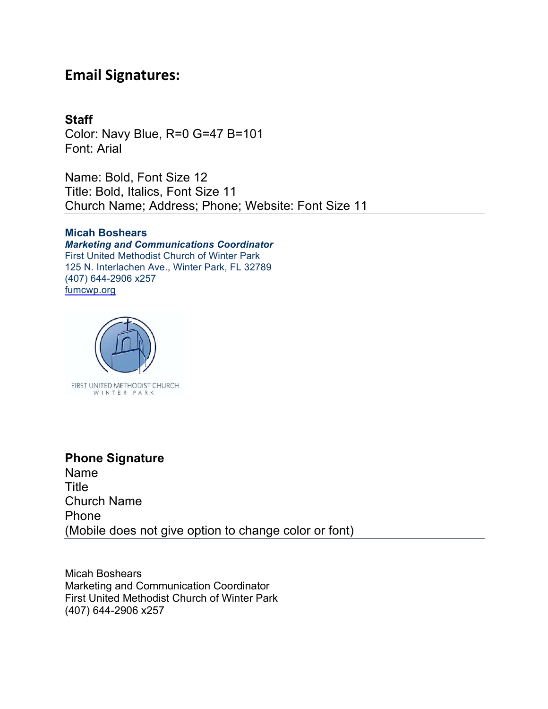# **Email Signatures:**

#### **Staff**

Color: Navy Blue, R=0 G=47 B=101 Font: Arial

Name: Bold, Font Size 12 Title: Bold, Italics, Font Size 11 Church Name; Address; Phone; Website: Font Size 11

#### **Micah Boshears**

*Marketing and Communications Coordinator* First United Methodist Church of Winter Park 125 N. Interlachen Ave., Winter Park, FL 32789 (407) 644-2906 x257 fumcwp.org



#### **Phone Signature**

Name Title Church Name Phone (Mobile does not give option to change color or font)

Micah Boshears Marketing and Communication Coordinator First United Methodist Church of Winter Park (407) 644-2906 x257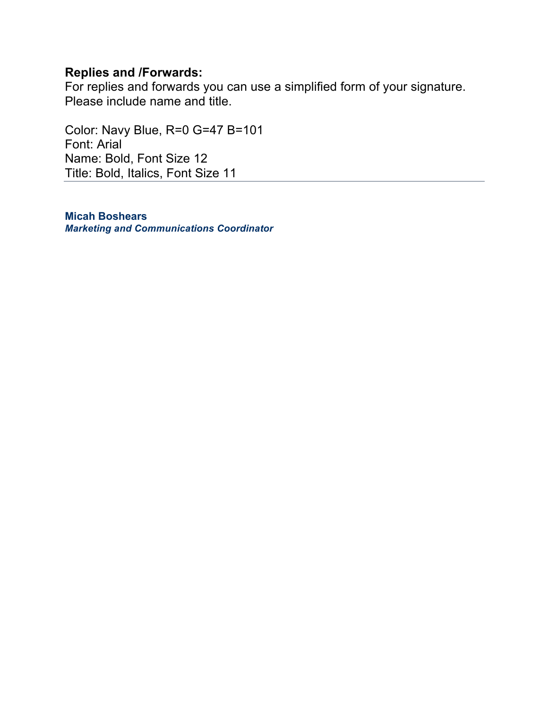#### **Replies and /Forwards:**

For replies and forwards you can use a simplified form of your signature. Please include name and title.

Color: Navy Blue, R=0 G=47 B=101 Font: Arial Name: Bold, Font Size 12 Title: Bold, Italics, Font Size 11

**Micah Boshears** *Marketing and Communications Coordinator*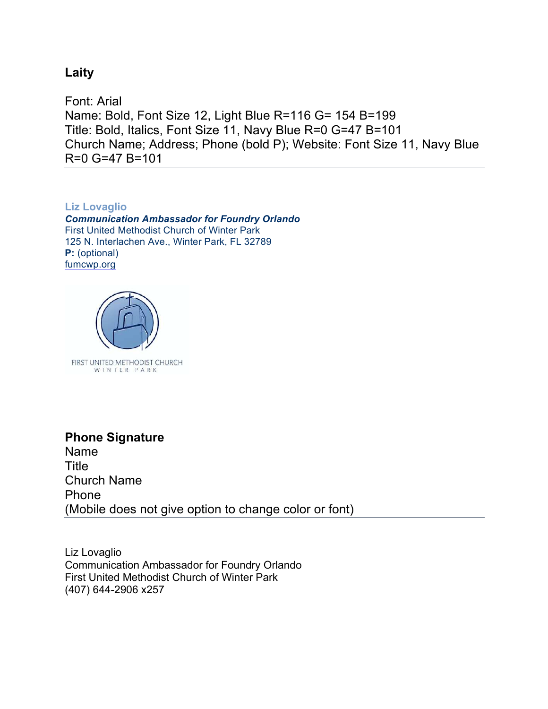#### **Laity**

Font: Arial Name: Bold, Font Size 12, Light Blue R=116 G= 154 B=199 Title: Bold, Italics, Font Size 11, Navy Blue R=0 G=47 B=101 Church Name; Address; Phone (bold P); Website: Font Size 11, Navy Blue R=0 G=47 B=101

**Liz Lovaglio**  *Communication Ambassador for Foundry Orlando*  First United Methodist Church of Winter Park 125 N. Interlachen Ave., Winter Park, FL 32789 **P:** (optional) fumcwp.org



## **Phone Signature** Name Title Church Name Phone (Mobile does not give option to change color or font)

Liz Lovaglio Communication Ambassador for Foundry Orlando First United Methodist Church of Winter Park (407) 644-2906 x257